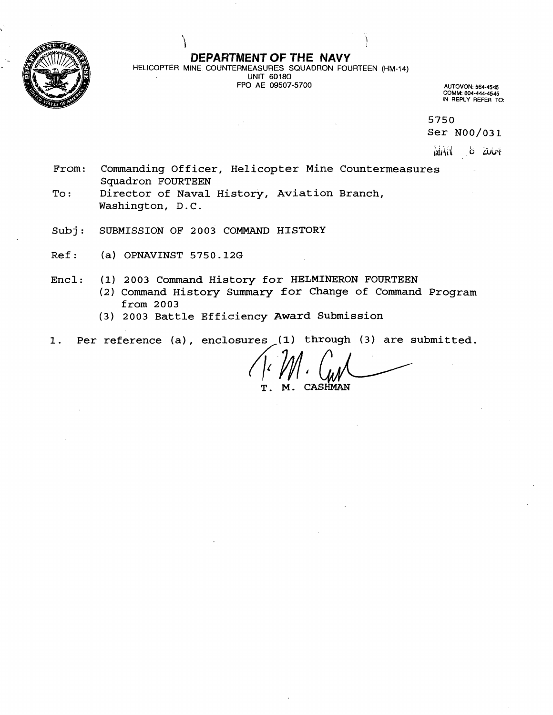

# **DEPARTMENT OF THE NAVY**

HELICOPTER MINE COUNTERMEASURES SQUADRON FOURTEEN (HM-14) UNIT 60180  $\Delta$ FPO AE 09507-5700 **AUTOVON: 564-4545** 

"i **<sup>i</sup>**

!

**COMM: 804-444-4545 IN REPLY REFER TO:** 

**5750** 

**Ser N00/031** 

MAR 6 2004

- **From: Commanding Officer, Helicopter Mine Countermeasures Squadron FOURTEEN**
- To: Director of Naval History, Aviation Branch, **Washington, D.C.**
- **Subj: SUBMISSION OF 2003 COMMAND HISTORY**
- **Ref: (a) OPNAVINST 5750.12G**
- **Encl: (1) 2003 Command History for HELMINERON FOURTEEN**  (2) Command History Summary for Change of Command Program **from 2003** 
	- **(3) 2003 Battle Efficiency Award Submission**

**1. Per reference (a)** , **enclosures (1) through (3) are submitted.** 

4~4 b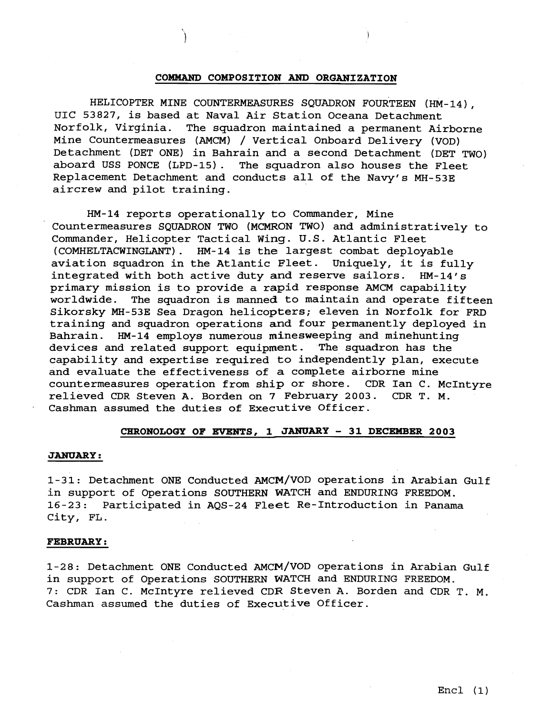## **COMMAND COMPOSITION AND ORGANIZATION**

HELICOPTER MINE COUNTERMEASURES SQUADRON FOURTEEN (HM-14),<br>UIC 53827, is based at Naval Air Station Oceana Detachment Norfolk, Virginia. The squadron maintained a permanent Airborne Mine Countermeasures (AMCM) / vertical Onboard Delivery (VOD) Detachment (DET ONE) in Bahrain and a second Detachment (DET TWO) aboard USS PONCE (LPD-15) . The squadron also houses the Fleet Replacement Detachment and conducts all of the Navy's MH-53E aircrew and pilot training.

HM-14 reports operationally to Commander, Mine Countermeasures SQUADRON TWO (MCMRON TWO) and administratively to Commander, Helicopter Tactical Wing. U.S. Atlantic Fleet (COMHELTACWINGLANT). HM-14 is the largest combat deployable aviation squadron in the Atlantic Fleet. Uniquely, it is fully integrated with both active duty and reserve sailors. HM-14's primary mission is to provide a rapid response AMCM capability worldwide. The squadron is manned to maintain and operate fifteen Sikorsky MH-53E Sea Dragon helicopters; eleven in Norfolk for FRD training and squadron operations and four permanently deployed in Bahrain. HM-14 employs numerous minesweeping and minehunting devices and related support equipment. The squadron has the capability and expertise required to independently plan, execute and evaluate the effectiveness of a complete airborne mine countermeasures operation from ship or shore. CDR Ian C. McIntyre relieved CDR Steven A. Borden on 7 February 2003. CDR T. M. Cashman assumed the duties of Executive Officer.

# CHRONOLOGY OF EVENTS, 1 JANUARY - 31 DECEMBER 2003

### **JANUARY** :

1-31: Detachment ONE Conducted AMCM/VOD operations in Arabian Gulf in support of Operations SOUTHERN WATCH and ENDURING FREEDOM. 16-23: Participated in AQS-24 Fleet Re-Introduction in Panama City, FL.

# **FEBRUARY** :

1-28: Detachment ONE Conducted AMCM/VOD operations in Arabian Gulf in support of Operations SOUTHERN WATCH and ENDURING FREEDOM. 7: CDR Ian C. McIntyre relieved CDR Steven A. Borden and CDR T. **M.**  Cashman assumed the duties of Executive Officer.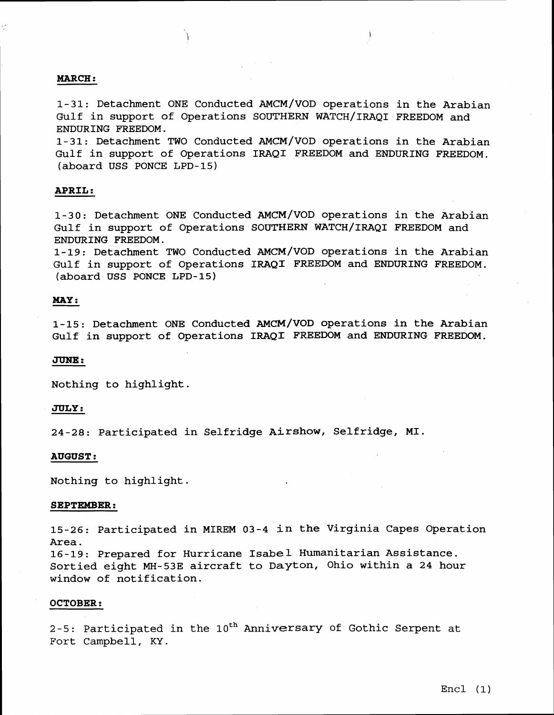# **MARCH** :

1-31: Detachment ONE Conducted AMCM/VOD operations in the Arabian Gulf in support of Operations SOUTHERN WATCH/IRAQI FREEDOM and ENDURING FREEDOM.

1-31: Detachment TWO Conducted AMCM/VOD operations in the Arabian Gulf in support of Operations IRAQI FREEDOM and ENDURING FREEDOM. (aboard USS PONCE LPD-15)

# **APRIL** :

1-30: Detachment ONE Conducted AMCM/VOD operations in the Arabian Gulf in support of Operations SOUTHERN WATCH/IRAQI FREEDOM and ENDURING FREEDOM.

1-19: Detachment TWO Conducted AMCM/VOD operations in the Arabian Gulf in support of Operations IRAQI FREEDOM and ENDURING FREEDOM. (aboard USS PONCE LPD-15)

# **MAY:**

1-15: Detachment ONE Conducted AMCM/VOD operations in the Arabian Gulf in support of Operations IRAQI FREEDOM and ENDURING FREEDOM.

### **JUNE:**

Nothing to highlight.

## **JULY:**

24-28: Participated in Selfridge Airshow, Selfridge, MI.

## **AUGUST** :

Nothing to highlight.

### **SEPTEMBER:**

15-26: Participated in MIREM 03-4 in the Virginia Capes Operation Area.

16-19: Prepared for Hurricane Isabel Humanitarian Assistance. Sortied eight MH-53E aircraft to Dayton, Ohio within a 24 hour window of notification.

#### **OCTOBER** :

2-5: Participated in the  $10^{th}$  Anniversary of Gothic Serpent at Fort Campbell, KY.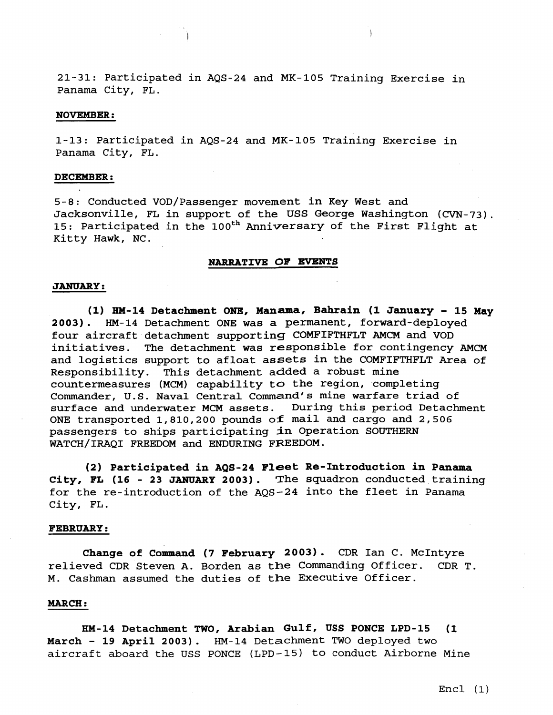21-31: Participated in AQS-24 and MK-105 Training Exercise in Panama City, FL.

## **NOVEMBER** :

1-13: Participated in AQS-24 and MK-105 Training Exercise in Panama City, FL.

## **DECEMBER** :

5-8: Conducted VOD/Passenger movement in Key West and Jacksonville, FL in support of the USS George Washington (CVN-73). 15: Participated in the 100<sup>th</sup> Anniversary of the First Flight at Kitty Hawk, NC.

# **NARRATIVE OF EVENTS**

### **JANUARY** :

**(1) EM-14 Detachment ONE, Manama, Bahrain (1 January** - **15 May 2003)** . **HM-14** Detachment ONE was a permanent, forward-deployed four aircraft detachment supporting COMFIFTHFLT AMCM and VOD initiatives. The detachment was responsible for contingency **AMCM**  and logistics support to afloat assets in the COMFIFTHFLT Area of Responsibility. This detachment added a robust mine countermeasures (MCM) capability to the region, completing Commander, U.S. Naval Central Command's mine warfare triad of surface and underwater MCM assets. During this period Detachment ONE transported 1,810,200 pounds of mail and cargo and 2,506 passengers to ships participating in Operation SOUTHERN WATCH/IRAQI FREEDOM and ENDURING FREEDOM.

**(2) Participated in AQS-24 Fleet Re-Introduction in Panama City, FL (16** - **23 JANUARY 2003)** . The squadron conducted training for the re-introduction of the AQS-24 into the fleet in Panama City, FL.

## **FEBRUARY:**

**Change of Command (7 February 2003)** . CDR Ian C. McIntyre relieved CDR Steven A. Borden as the Commanding officer. CDR T. M. Cashman assumed the duties of the Executive officer.

### **MARCH** :

**HM-14 Detachment TWO, Arabian Gulf, USS PONCE LPD-15 (1**  March - 19 April 2003). HM-14 Detachment TWO deployed two aircraft aboard the USS PONCE (LPD-15) to conduct Airborne Mine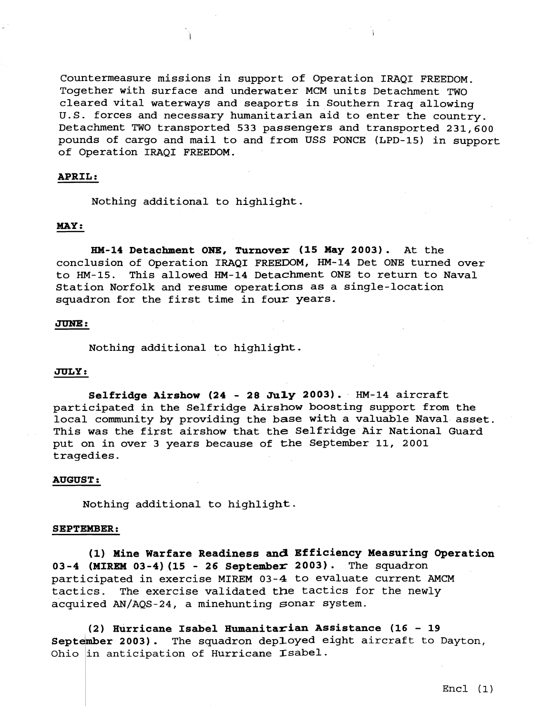Countermeasure missions in support of Operation IRAQI FREEDOM. Together with surface and underwater MCM units Detachment **TWO**  cleared vital waterways and seaports in Southern Iraq allowing **u.S.** forces and necessary humanitarian aid to enter the country. Detachment TWO transported **533** passengers and transported **231,600**  pounds of cargo and mail to and from USS PONCE (LPD-15) in support of operation IRAQI FREEDOM.

# **APRIL** :

Nothing additional to highlight.

# **MAY** :

**HM-24 Detachment ONE, Turnover (15 May 2003).** At the conclusion of Operation IRAQI FREEDOM, **HM-14** Det ONE turned over to **HM-15.** This allowed **HM-14** Detachment ONE to return to Naval Station Norfolk and resume operations as a single-location squadron for the first time in four years.

## JUNE:

Nothing additional to highlight.

# JULY:

**Selfridge Airshow (24** - **28 July 2003). HM-14** aircraft participated in the Selfridge Airshow boosting support from the local community by providing the base with a valuable Naval asset. This was the first airshow that the Selfridge Air National Guard put on in over **3** years because of the September **11, 2001**  tragedies.

### **AUGUST** :

Nothing additional to highlight.

### **SEPTEMBER:**

(1) Mine Warfare Readiness and Efficiency Measuring Operation **03-4 (MIREM 03-4) (15** - **26 September 2003).** The squadron participated in exercise MIREM **03-4** to evaluate current AMCM tactics. The exercise validated the tactics for the newly acquired AN/AQS-24, a minehunting sonar system.

**(2) Hurricane Isabel Humanitasian Assistance (16** - **<sup>19</sup>** September 2003). The squadron deployed eight aircraft to Dayton, Ohio in anticipation of Hurricane Isabel.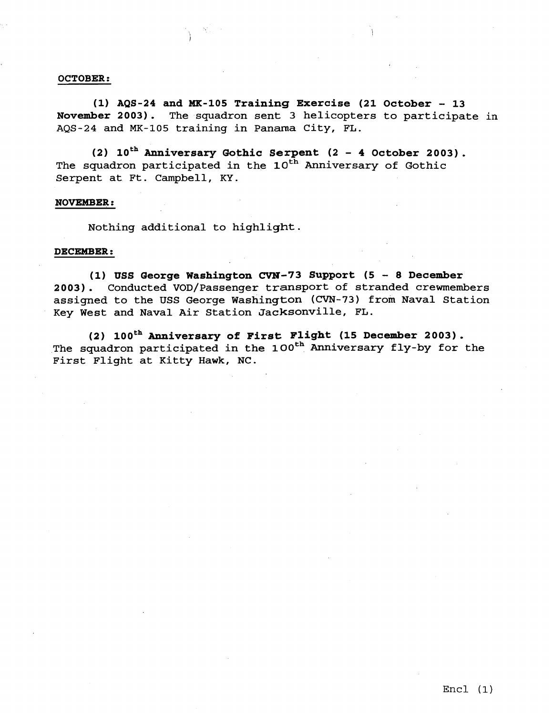### **OCTOBER:**

(1) AQS-24 and MK-105 Training Exercise (21 October - 13<br>November 2003). The squadron sent 3 helicopters to participate The squadron sent 3 helicopters to participate in AQS-24 and MK-105 training in Panama City, FL.

(2) 10<sup>th</sup> Anniversary Gothic Serpent (2 - 4 October 2003). The squadron participated in the 10<sup>th</sup> Anniversary of Gothic Serpent at Ft. Campbell, KY.

### **NOVEMBER** :

Nothing additional to highlight.

## **DECEMBER** :

**(1) USS George Washington CVN-73 Support (5** - **8 December**  2003). Conducted VOD/Passenger transport of stranded crewmembers assigned to the USS George Washington **(CVN-73)** from Naval Station Key West and Naval Air Station Jacksonville, FL.

**(2) zooth Anniversary of First** light **(15 December 2003)** . The squadron participated in the **looth** Anniversary fly-by for the First Flight at Kitty Hawk, NC.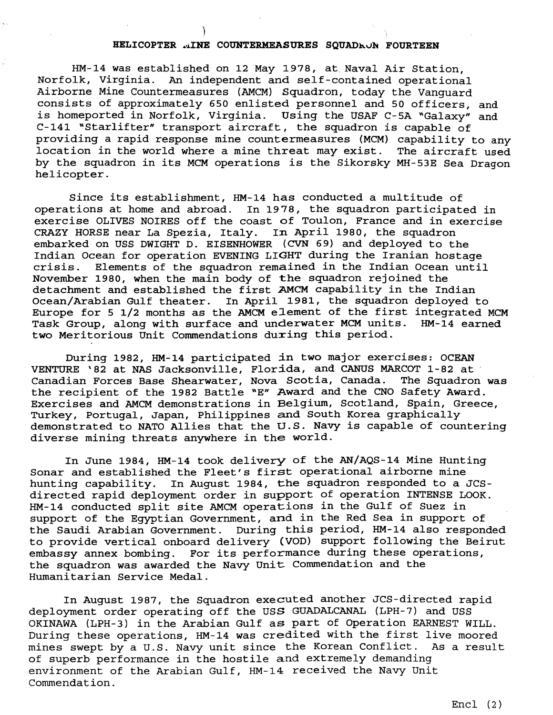# HELICOPTER ..INE COUNTERMEASURES SQUADRON FOURTEEN

HM-14 was established on 12 May 1978, at Naval Air Station, Norfolk, Virginia. **An** independent and self -contained operational Airborne Mine Countermeasures (AMCM) Squadron, today the Vanguard consists of approximately 650 enlisted personnel and 50 officers, and is homeported in Norfolk, Virginia. Using the USAF C-5A "Galaxy" and C-141 "Starlifter" transport aircraft, the squadron is capable of providing a rapid response mine countermeasures (MCM) capability to any location in the world where a mine threat may exist. by the squadron in its MCM operations is the Sikorsky MH-53E Sea Dragon helicopter.

Since its establishment, HM-14 has conducted a multitude of operations at home and abroad. In 1978, the squadron participated in exercise OLIVES NOIRES off the coast of Toulon, France and in exercise<br>CRAZY HORSE near La Spezia, Italy. In April 1980, the squadron CRAZY HORSE near La Spezia, Italy. embarked on **USS** DWIGHT D. EISENHOWER **(CVN** 69) and deployed to the Indian Ocean for operation EVENING LIGHT during the Iranian hostage crisis. Elements of the squadron remained in the Indian Ocean until November 1980, when the main body of the squadron rejoined the detachment and established the first **AMCM** capability in the Indian Ocean/Arabian Gulf theater. In April 1981, the squadron deployed to Europe for 5 1/2 months as the AMCM element of the first integrated MCM Task Group, along with surface and underwater MCM units. HM-14 earned two Meritorious Unit Commendations during this period.

During 1982, HM-14 participated in two major exercises: OCEAN VENTURE '82 at NAS Jacksonville, Florida, and CANUS MARCOT 1-82 at Canadian Forces Base Shearwater, Nova Scotia, Canada. the recipient of the 1982 Battle "E" Award and the CNO Safety Award. Exercises and AMCM demonstrations in Belgium, Scotland, Spain, Greece, Turkey, Portugal, Japan, Philippines and South Korea graphically demonstrated to NATO Allies that the U.S. Navy is capable of countering diverse mining threats anywhere in the world.

In June 1984, HM-14 took delivery of the AN/AQS-14 Mine Hunting Sonar and established the Fleet's first operational airborne mine hunting capability. In August 1984, the squadron responded to a JCSdirected rapid deployment order in support of operation INTENSE LOOK. HM-14 conducted split site AMCM operations in the Gulf of Suez in support of the Egyptian Government, and in the Red Sea in support of the Saudi Arabian Government. During this period, HM-14 also responded to provide vertical onboard delivery **(VOD)** support following the Beirut embassy annex bombing. For its performance during these operations, the squadron was awarded the Navy Unit Commendation and the Humanitarian Service Medal.

In August 1987, the Squadron executed another JCS-directed rapid deployment order operating off the USS **GUADALCANAL** (LPH-7) and USS OKINAWA (LPH-3) in the Arabian Gulf as part of Operation EARNEST WILL. During these operations, HM-14 was credited with the first live moored mines swept by a u.S. Navy unit since the Korean Conflict. As a result of superb performance in the hostile and extremely demanding environment of the Arabian Gulf, HM-14 received the Navy Unit Commendat ion.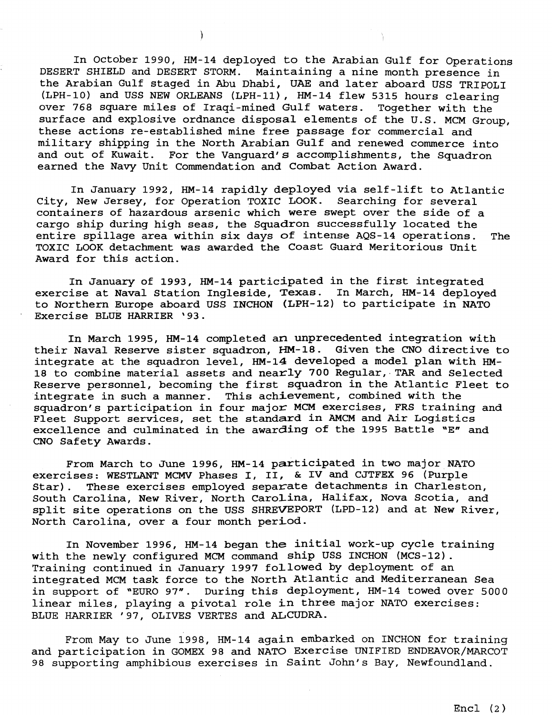In October 1990, HM-14 deployed to the Arabian Gulf for Operations DESERT SHIELD and DESERT STORM. Maintaining a nine month presence in the Arabian Gulf staged in Abu Dhabi, UAE and later aboard USS TRIPOLI (LPH-10) and USS NEW ORLEANS (LPH-11) , HM-14 flew 5315 hours clearing over 768 square miles of Iraqi-mined Gulf waters. Together with the surface and explosive ordnance disposal elements of the U.S. MCM Group, these actions re-established mine free passage for commercial and military shipping in the North Arabian Gulf and renewed commerce into and out of Kuwait. For the Vanguard's accomplishments, the Squadron earned the Navy Unit Commendation and Combat Action Award.

In January 1992, HM-14 rapidly deployed via self-lift to Atlantic City, New Jersey, for Operation TOXIC LOOK. Searching for several containers of hazardous arsenic which were swept over the side of a cargo ship during high seas, the Squadron successfully located the entire spillage area within six days of intense AQS-14 operations. The TOXIC LOOK detachment was awarded the Coast Guard Meritorious Unit Award for this action.

In January of 1993, HM-14 participated in the first integrated exercise at Naval Station Ingleside, Texas. In March, HM-14 deployed to Northern Europe aboard USS INCHON **(LPH-12)** to participate in NATO Exercise BLUE HARRIER '93.

In March 1995, HM-14 completed an unprecedented integration with their Naval Reserve sister squadron, HM-18. Given the CNO directive to integrate at the squadron level, HM-14 developed a model plan with **HM-**18 to combine material assets and nearly 700 Regular, TAR and Selected Reserve personnel, becoming the first squadron in the Atlantic Fleet to integrate in such a manner. This achievement, combined with the squadron's participation in four major MCM exercises, FRS training and Fleet Support services, set the standard in AMCM and Air Logistics excellence and culminated in the awarding of the 1995 Battle "E" and CNO Safety Awards.

From March to June 1996, HM-14 participated in two major NATO exercises: WESTLANT MCMV Phases I, 11, & **IV** and CJTFEX 96 (Purple Star). These exercises employed separate detachments in Charleston, South Carolina, New River, North carolina, Halifax, Nova Scotia, and split site operations on the USS SHREVEPORT (LPD-12) and at New River, North Carolina, over a four month period.

In November 1996, HM-14 began the initial work-up cycle training with the newly configured MCM command ship USS INCHON (MCS-12). Training continued in January 1997 followed by deployment of an integrated MCM task force to the North Atlantic and Mediterranean Sea in support of **"EURO** 97". During this deployment, HM-14 towed over 5000 linear miles, playing a pivotal role in three major NATO exercises: BLUE HARRIER ' 97, OLIVES VERTES and ALCUDRA.

From May to June 1998, HM-14 again embarked on INCHON for training and participation in GOMEX 98 and NATO Exercise UNIFIED ENDEAVOR/MARCOT 98 supporting amphibious exercises in Saint John's Bay, Newfoundland.